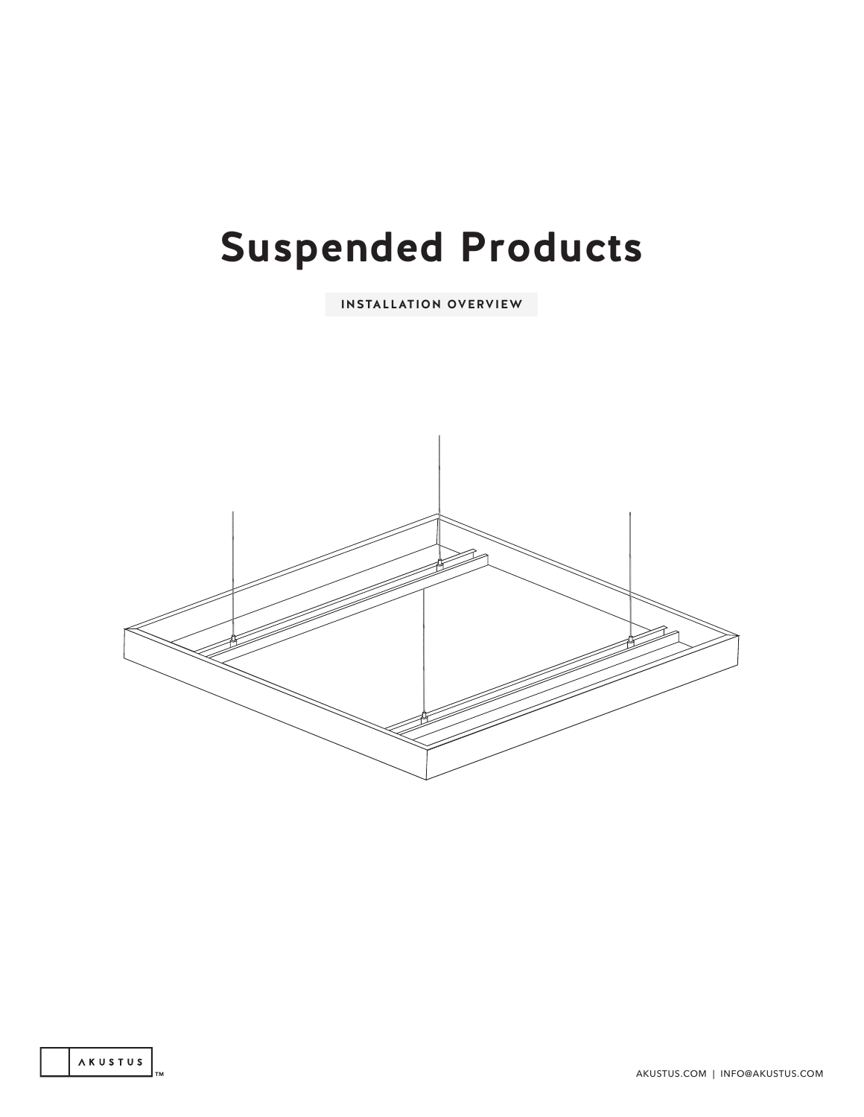# **Suspended Products**

**INSTALLATION OVERVIEW**

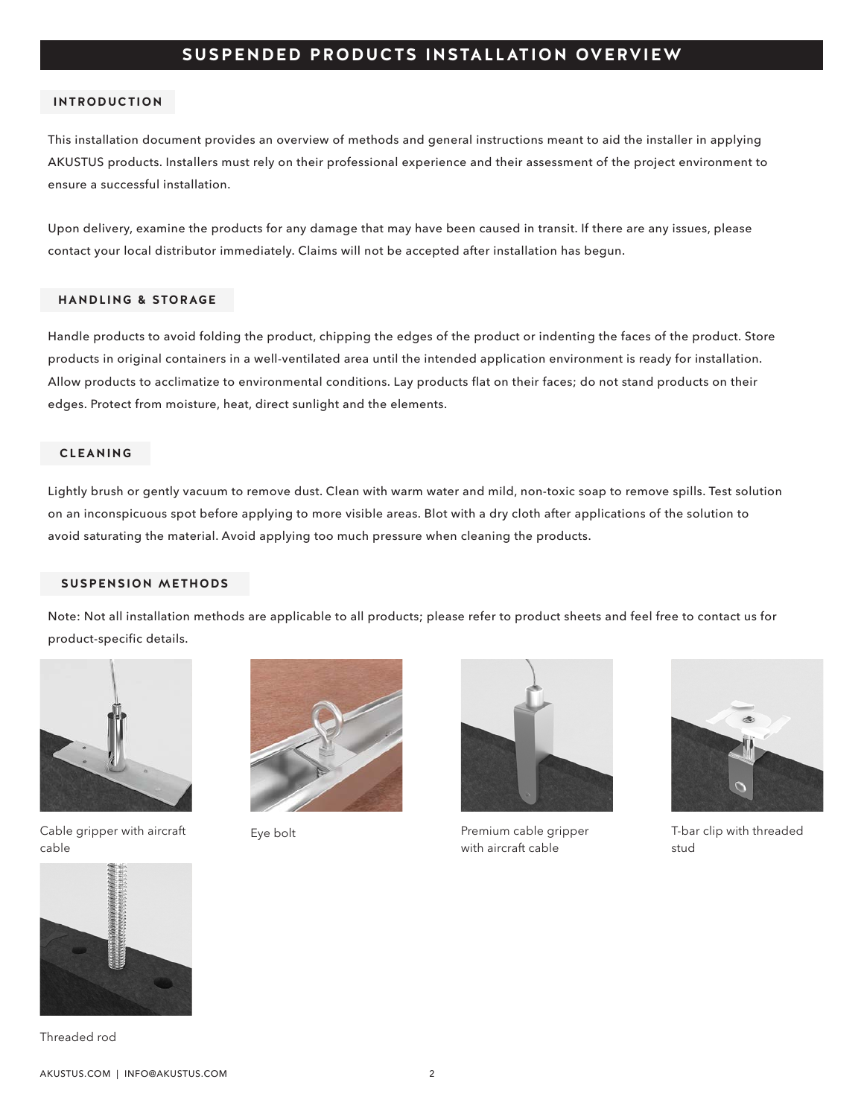# **SUSPENDED PRODUCTS INSTALLATION OVERVIEW**

#### **INTRODUCTION**

This installation document provides an overview of methods and general instructions meant to aid the installer in applying AKUSTUS products. Installers must rely on their professional experience and their assessment of the project environment to ensure a successful installation.

Upon delivery, examine the products for any damage that may have been caused in transit. If there are any issues, please contact your local distributor immediately. Claims will not be accepted after installation has begun.

#### **HANDLING & STORAGE**

Handle products to avoid folding the product, chipping the edges of the product or indenting the faces of the product. Store products in original containers in a well-ventilated area until the intended application environment is ready for installation. Allow products to acclimatize to environmental conditions. Lay products flat on their faces; do not stand products on their edges. Protect from moisture, heat, direct sunlight and the elements.

#### **CLEANING**

Lightly brush or gently vacuum to remove dust. Clean with warm water and mild, non-toxic soap to remove spills. Test solution on an inconspicuous spot before applying to more visible areas. Blot with a dry cloth after applications of the solution to avoid saturating the material. Avoid applying too much pressure when cleaning the products.

#### **SUSPENSION METHODS**

Note: Not all installation methods are applicable to all products; please refer to product sheets and feel free to contact us for product-specific details.



Cable gripper with aircraft cable





Eye bolt **Premium cable gripper** with aircraft cable



T-bar clip with threaded stud



Threaded rod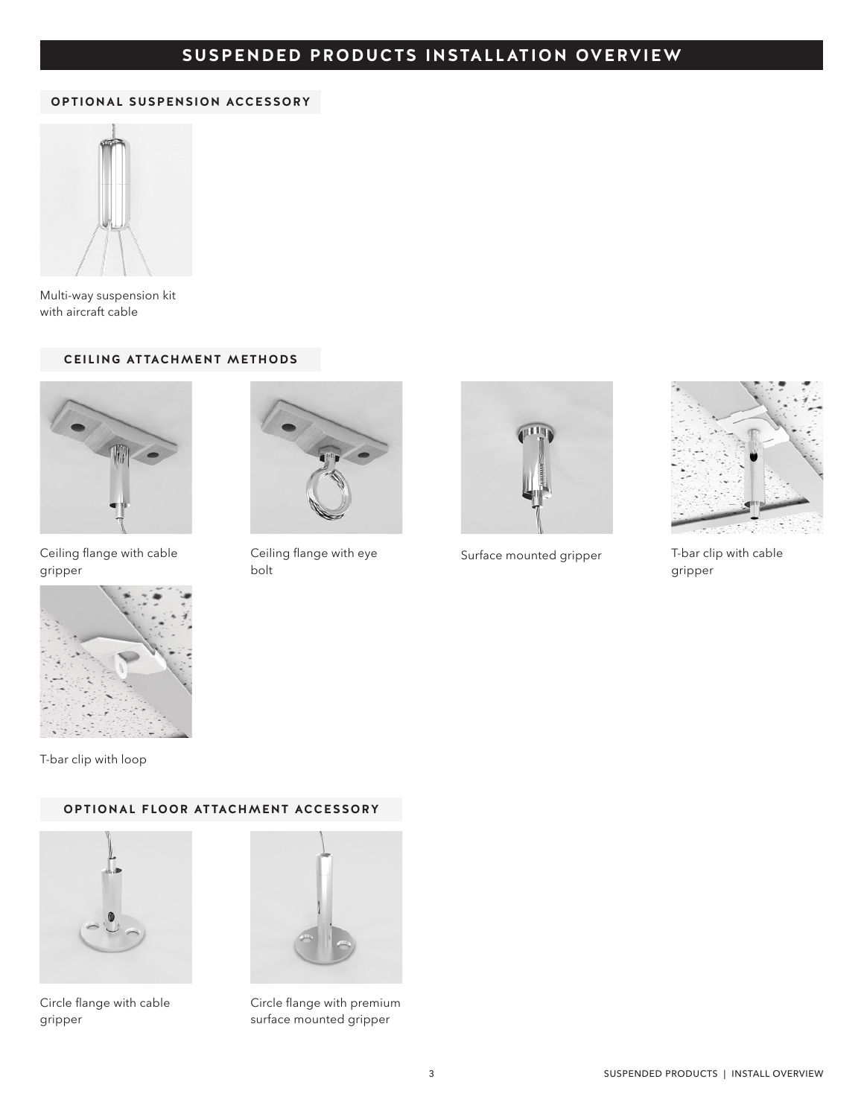# **TITLE SUSPENDED PRODUCTS INSTALLATION OVERVIEW**

#### **OPTIONAL SUSPENSION ACCESSORY**



Multi-way suspension kit with aircraft cable

## **CEILING ATTACHMENT METHODS**



Ceiling flange with cable gripper



Ceiling flange with eye bolt



Surface mounted gripper



T-bar clip with cable gripper



T-bar clip with loop

## **OPTIONAL FLOOR ATTACHMENT ACCESSORY**



Circle flange with cable gripper



Circle flange with premium surface mounted gripper